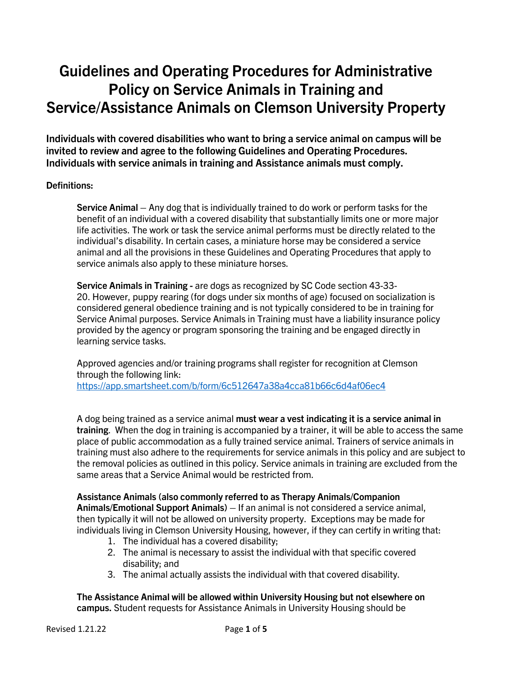# **Guidelines and Operating Procedures for Administrative Policy on Service Animals in Training and Service/Assistance Animals on Clemson University Property**

**Individuals with covered disabilities who want to bring a service animal on campus will be invited to review and agree to the following Guidelines and Operating Procedures. Individuals with service animals in training and Assistance animals must comply.**

# **Definitions:**

**Service Animal –** Any dog that is individually trained to do work or perform tasks for the benefit of an individual with a covered disability that substantially limits one or more major life activities. The work or task the service animal performs must be directly related to the individual's disability. In certain cases, a miniature horse may be considered a service animal and all the provisions in these Guidelines and Operating Procedures that apply to service animals also apply to these miniature horses.

**Service Animals in Training -** are dogs as recognized by SC Code section 43-33- 20. However, puppy rearing (for dogs under six months of age) focused on socialization is considered general obedience training and is not typically considered to be in training for Service Animal purposes. Service Animals in Training must have a liability insurance policy provided by the agency or program sponsoring the training and be engaged directly in learning service tasks.

Approved agencies and/or training programs shall register for recognition at Clemson through the following link: <https://app.smartsheet.com/b/form/6c512647a38a4cca81b66c6d4af06ec4>

A dog being trained as a service animal **must wear a vest indicating it is a service animal in training**. When the dog in training is accompanied by a trainer, it will be able to access the same place of public accommodation as a fully trained service animal. Trainers of service animals in training must also adhere to the requirements for service animals in this policy and are subject to the removal policies as outlined in this policy. Service animals in training are excluded from the same areas that a Service Animal would be restricted from.

**Assistance Animals (also commonly referred to as Therapy Animals/Companion Animals/Emotional Support Animals) –** If an animal is not considered a service animal, then typically it will not be allowed on university property. Exceptions may be made for individuals living in Clemson University Housing, however, if they can certify in writing that:

- 1. The individual has a covered disability;
- 2. The animal is necessary to assist the individual with that specific covered disability; and
- 3. The animal actually assists the individual with that covered disability.

**The Assistance Animal will be allowed within University Housing but not elsewhere on campus.** Student requests for Assistance Animals in University Housing should be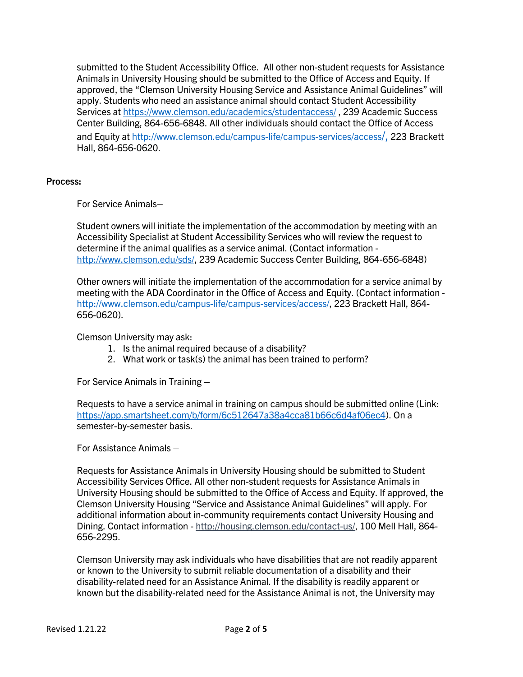submitted to the Student Accessibility Office. All other non-student requests for Assistance Animals in University Housing should be submitted to the Office of Access and Equity. If approved, the "Clemson University Housing Service and Assistance Animal Guidelines" will apply. Students who need an assistance animal should contact Student Accessibility Services at<https://www.clemson.edu/academics/studentaccess/> , 239 Academic Success Center Building, 864-656-6848. All other individuals should contact the Office of Access and Equity at http://www.clemson.edu/campus-life/campus-services/access/, 223 Brackett Hall, 864-656-0620.

## **Process:**

For Service Animals–

Student owners will initiate the implementation of the accommodation by meeting with an Accessibility Specialist at Student Accessibility Services who will review the request to determine if the animal qualifies as a service animal. (Contact information [http://www.clemson.edu/sds/,](http://www.clemson.edu/sds/) 239 Academic Success Center Building, 864-656-6848)

Other owners will initiate the implementation of the accommodation for a service animal by meeting with the ADA Coordinator in the Office of Access and Equity. (Contact information [http://www.clemson.edu/campus-life/campus-services/access/,](http://www.clemson.edu/campus-life/campus-services/access/) 223 Brackett Hall, 864- 656-0620).

Clemson University may ask:

- 1. Is the animal required because of a disability?
- 2. What work or task(s) the animal has been trained to perform?

For Service Animals in Training –

Requests to have a service animal in training on campus should be submitted online (Link: [https://app.smartsheet.com/b/form/6c512647a38a4cca81b66c6d4af06ec4\)](https://app.smartsheet.com/b/form/6c512647a38a4cca81b66c6d4af06ec4). On a semester-by-semester basis.

For Assistance Animals –

Requests for Assistance Animals in University Housing should be submitted to Student Accessibility Services Office. All other non-student requests for Assistance Animals in University Housing should be submitted to the Office of Access and Equity. If approved, the Clemson University Housing "Service and Assistance Animal Guidelines" will apply. For additional information about in-community requirements contact University Housing and Dining. Contact information - [http://housing.clemson.edu/contact-us/,](http://housing.clemson.edu/contact-us/) 100 Mell Hall, 864- 656-2295.

Clemson University may ask individuals who have disabilities that are not readily apparent or known to the University to submit reliable documentation of a disability and their disability-related need for an Assistance Animal. If the disability is readily apparent or known but the disability-related need for the Assistance Animal is not, the University may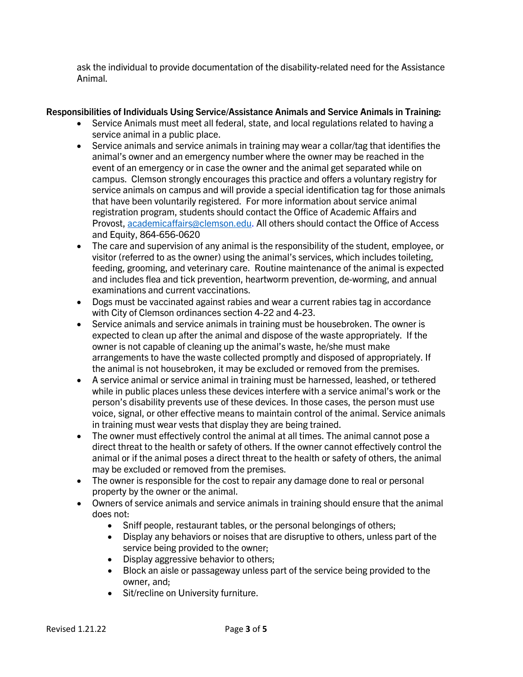ask the individual to provide documentation of the disability-related need for the Assistance Animal.

# **Responsibilities of Individuals Using Service/Assistance Animals and Service Animals in Training:**

- Service Animals must meet all federal, state, and local regulations related to having a service animal in a public place.
- Service animals and service animals in training may wear a collar/tag that identifies the animal's owner and an emergency number where the owner may be reached in the event of an emergency or in case the owner and the animal get separated while on campus. Clemson strongly encourages this practice and offers a voluntary registry for service animals on campus and will provide a special identification tag for those animals that have been voluntarily registered. For more information about service animal registration program, students should contact the Office of Academic Affairs and Provost, [academicaffairs@clemson.edu.](mailto:academicaffairs@clemson.edu) All others should contact the Office of Access and Equity, 864-656-0620
- The care and supervision of any animal is the responsibility of the student, employee, or visitor (referred to as the owner) using the animal's services, which includes toileting, feeding, grooming, and veterinary care. Routine maintenance of the animal is expected and includes flea and tick prevention, heartworm prevention, de-worming, and annual examinations and current vaccinations.
- Dogs must be vaccinated against rabies and wear a current rabies tag in accordance with City of Clemson ordinances section 4-22 and 4-23.
- Service animals and service animals in training must be housebroken. The owner is expected to clean up after the animal and dispose of the waste appropriately. If the owner is not capable of cleaning up the animal's waste, he/she must make arrangements to have the waste collected promptly and disposed of appropriately. If the animal is not housebroken, it may be excluded or removed from the premises.
- A service animal or service animal in training must be harnessed, leashed, or tethered while in public places unless these devices interfere with a service animal's work or the person's disability prevents use of these devices. In those cases, the person must use voice, signal, or other effective means to maintain control of the animal. Service animals in training must wear vests that display they are being trained.
- The owner must effectively control the animal at all times. The animal cannot pose a direct threat to the health or safety of others. If the owner cannot effectively control the animal or if the animal poses a direct threat to the health or safety of others, the animal may be excluded or removed from the premises.
- The owner is responsible for the cost to repair any damage done to real or personal property by the owner or the animal.
- Owners of service animals and service animals in training should ensure that the animal does not:
	- Sniff people, restaurant tables, or the personal belongings of others;
	- Display any behaviors or noises that are disruptive to others, unless part of the service being provided to the owner;
	- Display aggressive behavior to others;
	- Block an aisle or passageway unless part of the service being provided to the owner, and;
	- Sit/recline on University furniture.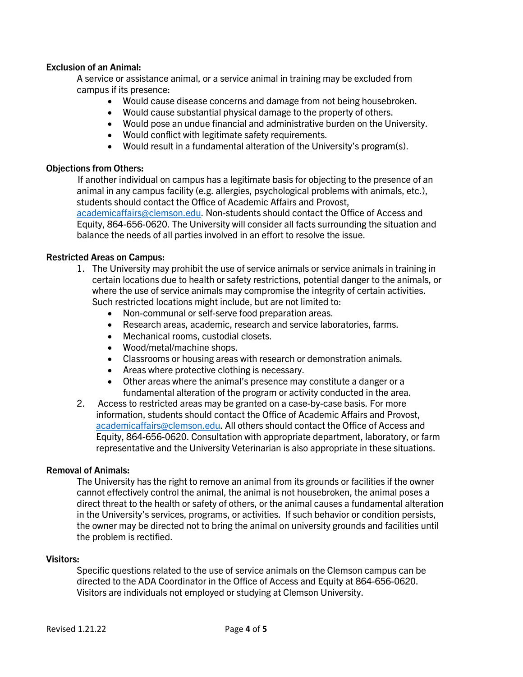## **Exclusion of an Animal:**

A service or assistance animal, or a service animal in training may be excluded from campus if its presence:

- Would cause disease concerns and damage from not being housebroken.
- Would cause substantial physical damage to the property of others.
- Would pose an undue financial and administrative burden on the University.
- Would conflict with legitimate safety requirements.
- Would result in a fundamental alteration of the University's program(s).

#### **Objections from Others:**

If another individual on campus has a legitimate basis for objecting to the presence of an animal in any campus facility (e.g. allergies, psychological problems with animals, etc.), students should contact the Office of Academic Affairs and Provost,

[academicaffairs@clemson.edu.](mailto:academicaffairs@clemson.edu) Non-students should contact the Office of Access and Equity, 864-656-0620. The University will consider all facts surrounding the situation and balance the needs of all parties involved in an effort to resolve the issue.

#### **Restricted Areas on Campus:**

- 1. The University may prohibit the use of service animals or service animals in training in certain locations due to health or safety restrictions, potential danger to the animals, or where the use of service animals may compromise the integrity of certain activities. Such restricted locations might include, but are not limited to:
	- Non-communal or self-serve food preparation areas.
	- Research areas, academic, research and service laboratories, farms.
	- Mechanical rooms, custodial closets.
	- Wood/metal/machine shops.
	- Classrooms or housing areas with research or demonstration animals.
	- Areas where protective clothing is necessary.
	- Other areas where the animal's presence may constitute a danger or a fundamental alteration of the program or activity conducted in the area.
- 2. Access to restricted areas may be granted on a case-by-case basis. For more information, students should contact the Office of Academic Affairs and Provost, [academicaffairs@clemson.edu.](mailto:academicaffairs@clemson.edu) All others should contact the Office of Access and Equity, 864-656-0620. Consultation with appropriate department, laboratory, or farm representative and the University Veterinarian is also appropriate in these situations.

#### **Removal of Animals:**

The University has the right to remove an animal from its grounds or facilities if the owner cannot effectively control the animal, the animal is not housebroken, the animal poses a direct threat to the health or safety of others, or the animal causes a fundamental alteration in the University's services, programs, or activities. If such behavior or condition persists, the owner may be directed not to bring the animal on university grounds and facilities until the problem is rectified.

#### **Visitors:**

Specific questions related to the use of service animals on the Clemson campus can be directed to the ADA Coordinator in the Office of Access and Equity at 864-656-0620. Visitors are individuals not employed or studying at Clemson University.